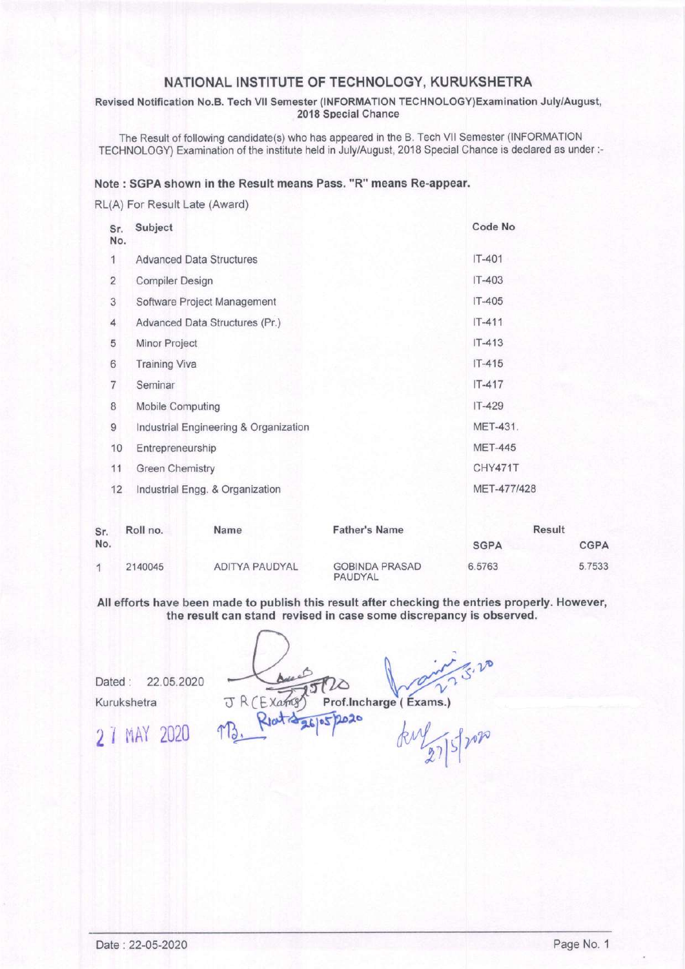#### NATIONAL INSTITUTE OF TECHNOLOGY, KURUKSHETRA

Revised Notification No.B. Tech Vll Semester (INFORMATION TECHNOLOGY)Examination July/August, 2018 Special Chance

The Result of following candidate(s) who has appeared in the B. Tech VII Semester (INFORMATION TECHNOLOGY) Examination of the institute held in July/August, 2018 Special Chance is declared as under :-

#### Note : SGPA shown in the Result means Pass. "R" means Re-appear.

RL(A) For Result Late (Award)

| Sr.<br>No.     | Subject                               |                             |                                  | Code No        |          |  |
|----------------|---------------------------------------|-----------------------------|----------------------------------|----------------|----------|--|
| 1              | <b>Advanced Data Structures</b>       |                             |                                  | $IT-401$       |          |  |
| $\overline{2}$ | <b>Compiler Design</b>                |                             |                                  | IT-403         |          |  |
| 3              |                                       | Software Project Management |                                  |                | $IT-405$ |  |
| 4              | Advanced Data Structures (Pr.)        |                             |                                  | $IT - 411$     |          |  |
| 5              | Minor Project                         |                             |                                  | $IT-413$       |          |  |
| 6              | <b>Training Viva</b>                  |                             |                                  | $IT-415$       |          |  |
| $\overline{7}$ | Seminar                               |                             |                                  | $IT-417$       |          |  |
| 8              | Mobile Computing                      |                             |                                  | IT-429         |          |  |
| $\overline{9}$ | Industrial Engineering & Organization |                             |                                  | MET-431.       |          |  |
| 10             | Entrepreneurship                      |                             |                                  | <b>MET-445</b> |          |  |
| 11             | <b>Green Chemistry</b>                |                             |                                  | CHY471T        |          |  |
| 12             | Industrial Engg. & Organization       |                             |                                  | MET-477/428    |          |  |
| Sr.            | Roll no.<br>Name                      |                             | <b>Father's Name</b>             | <b>Result</b>  |          |  |
| No.            |                                       |                             |                                  | <b>SGPA</b>    | CGPA     |  |
| 1              | 2140045                               | <b>ADITYA PAUDYAL</b>       | <b>GOBINDA PRASAD</b><br>PAUDYAL | 6.5763         | 5.7533   |  |

All efforts have been made to publish this result after checking the entries properly. However, the result can stand revised in case some discrepancy is observed.

 $\bigcup_{x \in \mathcal{B}} \phi(x) = 0$ Dated: 22.05.2020 <br>Kurukshetra <del>J</del> R (Exams) Prof.lncharge (Exams.)<br>R V<sup>at 2</sup> 26<sup>1</sup> Prof.lncharge (Exams.)

 $27$  MAY 2020 TB, Riot 326/05/2020 kill of  $27$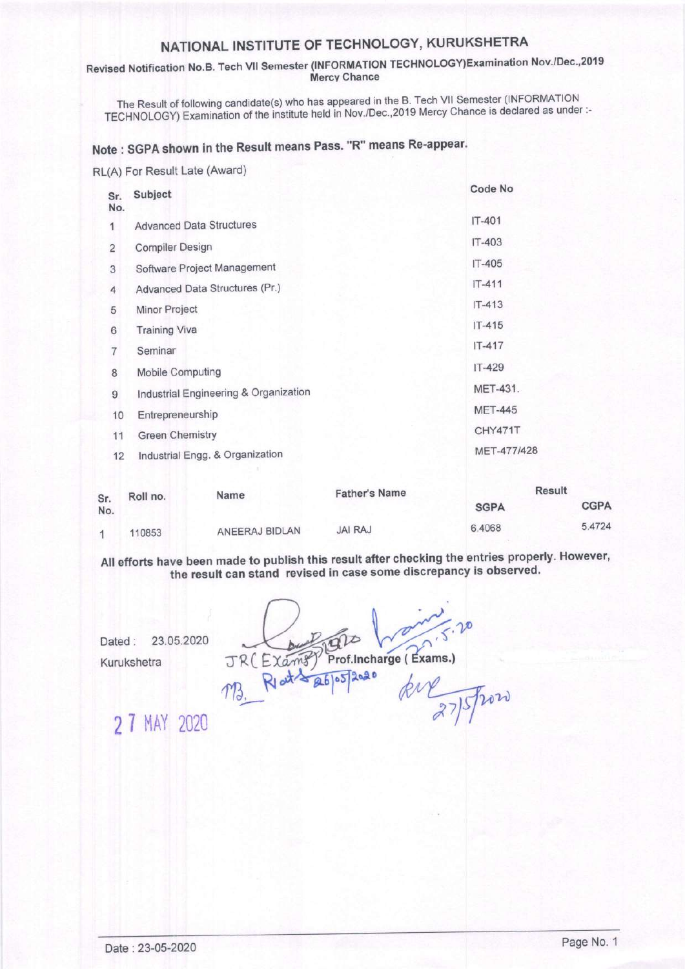## NATIoNAL INSTITUTE oF TECHNoLoGY, KURUKSHETRA

### Revised Notification No.B. Tech Vll Semester (INFORMATION TECHNOLOGY)Examination Nov'/Dec',2019 Mercv Chance

The Result of following candidate(s) who has appeared in the B. Tech VII Semester (INFORMATION TECHNOLOGY) Examination of the institute held in Nov./Dec.,2019 Mercy Chance is declared as under:-

# Note : SGPA shown in the Result means Pass. "R" means Re-appear'

RL(A) For Result Late (Award)

| Sr.<br>No.     | Subject                               | Code No        |
|----------------|---------------------------------------|----------------|
| 1              | <b>Advanced Data Structures</b>       | $IT-401$       |
| 2              | <b>Compiler Design</b>                | IT-403         |
| 3              | Software Project Management           | $IT-405$       |
| $\overline{4}$ | Advanced Data Structures (Pr.)        | $IT-411$       |
| 5              | Minor Project                         | $IT - 413$     |
| 6              | <b>Training Viva</b>                  | $IT-415$       |
| 7              | Seminar                               | $IT-417$       |
| 8              | <b>Mobile Computing</b>               | $IT-429$       |
| 9              | Industrial Engineering & Organization | MET-431.       |
| 10             | Entrepreneurship                      | <b>MET-445</b> |
| 11             | <b>Green Chemistry</b>                | CHY471T        |
| 12             | Industrial Engg. & Organization       | MET-477/428    |
|                |                                       |                |

| Sr.<br>No. | Roll no. | Name           | <b>Father's Name</b> | Result      |             |
|------------|----------|----------------|----------------------|-------------|-------------|
|            |          |                |                      | <b>SGPA</b> | <b>CGPA</b> |
|            | 110853   | ANEERAJ BIDLAN | <b>JAI RAJ</b>       | 6.4068      | 5.4724      |

All efforts have been made to publish this result after checking the entries properly. However, the result can stand revised in case some discrepancy is observed.

Dated: 23.05.2020

Kurukshetra

Prof.Incharge (Exams.) JR (Examp)  $RJ/dt \approx 26005$ 

lqao

**2 7 MAY 2020** 

kie 275 from